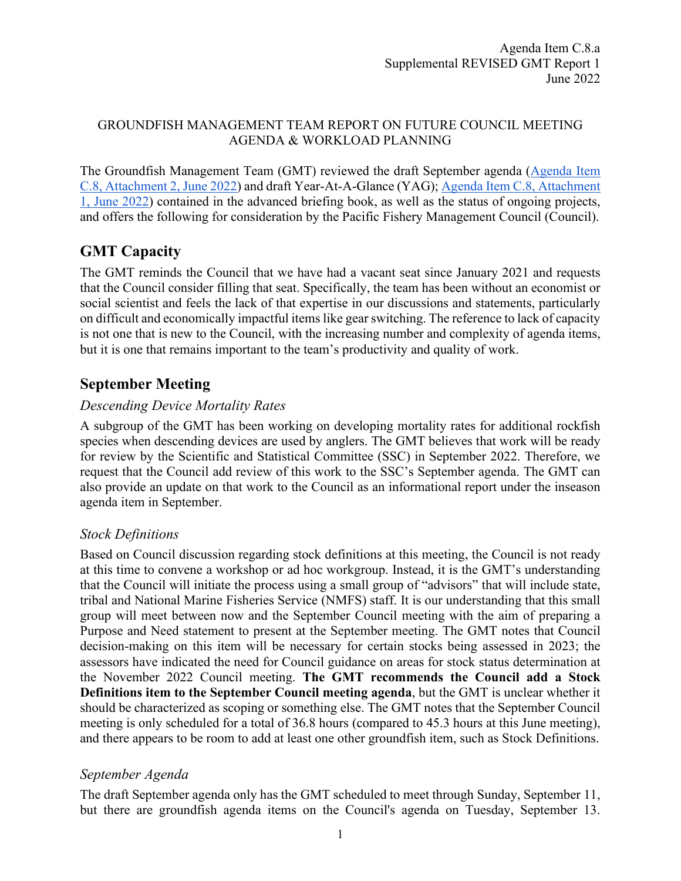#### GROUNDFISH MANAGEMENT TEAM REPORT ON FUTURE COUNCIL MEETING AGENDA & WORKLOAD PLANNING

The Groundfish Management Team (GMT) reviewed the draft September agenda [\(Agenda Item](https://www.pcouncil.org/documents/2022/05/c-8-attachment-2-draft-proposed-council-meeting-agenda-september-2022.pdf/)  [C.8, Attachment 2, June 2022\)](https://www.pcouncil.org/documents/2022/05/c-8-attachment-2-draft-proposed-council-meeting-agenda-september-2022.pdf/) and draft Year-At-A-Glance (YAG); [Agenda Item C.8, Attachment](https://www.pcouncil.org/documents/2022/05/c-8-attachment-2-draft-proposed-council-meeting-agenda-september-2022.pdf/)  [1, June 2022\)](https://www.pcouncil.org/documents/2022/05/c-8-attachment-2-draft-proposed-council-meeting-agenda-september-2022.pdf/) contained in the advanced briefing book, as well as the status of ongoing projects, and offers the following for consideration by the Pacific Fishery Management Council (Council).

## **GMT Capacity**

The GMT reminds the Council that we have had a vacant seat since January 2021 and requests that the Council consider filling that seat. Specifically, the team has been without an economist or social scientist and feels the lack of that expertise in our discussions and statements, particularly on difficult and economically impactful items like gear switching. The reference to lack of capacity is not one that is new to the Council, with the increasing number and complexity of agenda items, but it is one that remains important to the team's productivity and quality of work.

# **September Meeting**

## *Descending Device Mortality Rates*

A subgroup of the GMT has been working on developing mortality rates for additional rockfish species when descending devices are used by anglers. The GMT believes that work will be ready for review by the Scientific and Statistical Committee (SSC) in September 2022. Therefore, we request that the Council add review of this work to the SSC's September agenda. The GMT can also provide an update on that work to the Council as an informational report under the inseason agenda item in September.

#### *Stock Definitions*

Based on Council discussion regarding stock definitions at this meeting, the Council is not ready at this time to convene a workshop or ad hoc workgroup. Instead, it is the GMT's understanding that the Council will initiate the process using a small group of "advisors" that will include state, tribal and National Marine Fisheries Service (NMFS) staff. It is our understanding that this small group will meet between now and the September Council meeting with the aim of preparing a Purpose and Need statement to present at the September meeting. The GMT notes that Council decision-making on this item will be necessary for certain stocks being assessed in 2023; the assessors have indicated the need for Council guidance on areas for stock status determination at the November 2022 Council meeting. **The GMT recommends the Council add a Stock Definitions item to the September Council meeting agenda**, but the GMT is unclear whether it should be characterized as scoping or something else. The GMT notes that the September Council meeting is only scheduled for a total of 36.8 hours (compared to 45.3 hours at this June meeting), and there appears to be room to add at least one other groundfish item, such as Stock Definitions.

## *September Agenda*

The draft September agenda only has the GMT scheduled to meet through Sunday, September 11, but there are groundfish agenda items on the Council's agenda on Tuesday, September 13.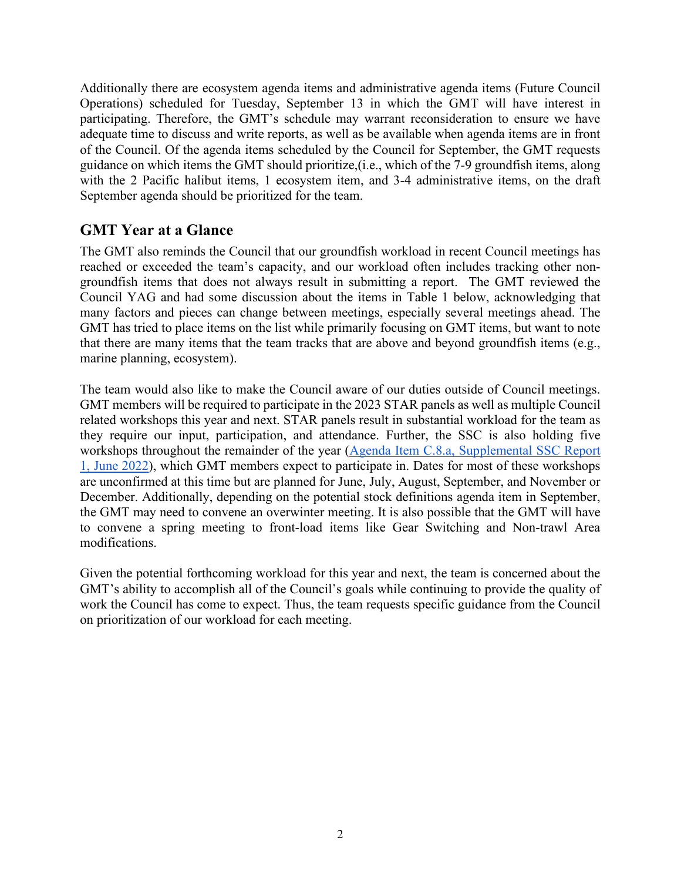Additionally there are ecosystem agenda items and administrative agenda items (Future Council Operations) scheduled for Tuesday, September 13 in which the GMT will have interest in participating. Therefore, the GMT's schedule may warrant reconsideration to ensure we have adequate time to discuss and write reports, as well as be available when agenda items are in front of the Council. Of the agenda items scheduled by the Council for September, the GMT requests guidance on which items the GMT should prioritize,(i.e., which of the 7-9 groundfish items, along with the 2 Pacific halibut items, 1 ecosystem item, and 3-4 administrative items, on the draft September agenda should be prioritized for the team.

### **GMT Year at a Glance**

The GMT also reminds the Council that our groundfish workload in recent Council meetings has reached or exceeded the team's capacity, and our workload often includes tracking other nongroundfish items that does not always result in submitting a report. The GMT reviewed the Council YAG and had some discussion about the items in Table 1 below, acknowledging that many factors and pieces can change between meetings, especially several meetings ahead. The GMT has tried to place items on the list while primarily focusing on GMT items, but want to note that there are many items that the team tracks that are above and beyond groundfish items (e.g., marine planning, ecosystem).

The team would also like to make the Council aware of our duties outside of Council meetings. GMT members will be required to participate in the 2023 STAR panels as well as multiple Council related workshops this year and next. STAR panels result in substantial workload for the team as they require our input, participation, and attendance. Further, the SSC is also holding five workshops throughout the remainder of the year [\(Agenda Item C.8.a, Supplemental SSC Report](https://www.pcouncil.org/documents/2022/06/c-8-a-supplemental-ssc-report-1-3.pdf/)  [1, June 2022\)](https://www.pcouncil.org/documents/2022/06/c-8-a-supplemental-ssc-report-1-3.pdf/), which GMT members expect to participate in. Dates for most of these workshops are unconfirmed at this time but are planned for June, July, August, September, and November or December. Additionally, depending on the potential stock definitions agenda item in September, the GMT may need to convene an overwinter meeting. It is also possible that the GMT will have to convene a spring meeting to front-load items like Gear Switching and Non-trawl Area modifications.

Given the potential forthcoming workload for this year and next, the team is concerned about the GMT's ability to accomplish all of the Council's goals while continuing to provide the quality of work the Council has come to expect. Thus, the team requests specific guidance from the Council on prioritization of our workload for each meeting.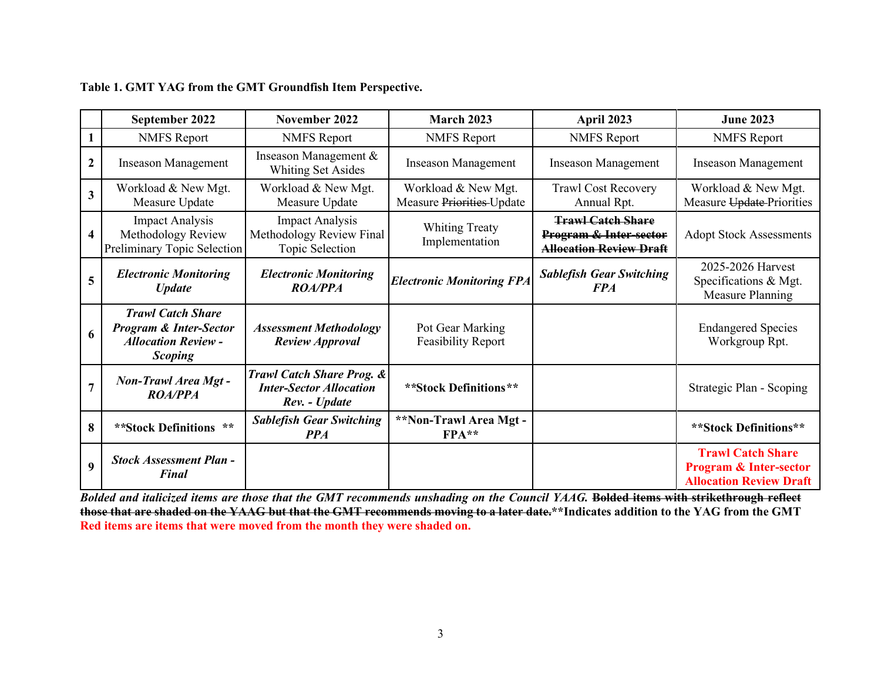|                         | September 2022                                                                                                | November 2022                                                                           | <b>March 2023</b>                                | April 2023                                                                                      | <b>June 2023</b>                                                                                |
|-------------------------|---------------------------------------------------------------------------------------------------------------|-----------------------------------------------------------------------------------------|--------------------------------------------------|-------------------------------------------------------------------------------------------------|-------------------------------------------------------------------------------------------------|
|                         | <b>NMFS</b> Report                                                                                            | <b>NMFS</b> Report                                                                      | <b>NMFS</b> Report                               | <b>NMFS</b> Report                                                                              | <b>NMFS</b> Report                                                                              |
| $\mathbf{2}$            | <b>Inseason Management</b>                                                                                    | Inseason Management &<br><b>Whiting Set Asides</b>                                      | <b>Inseason Management</b>                       | <b>Inseason Management</b>                                                                      | <b>Inseason Management</b>                                                                      |
| $\overline{\mathbf{3}}$ | Workload & New Mgt.<br>Measure Update                                                                         | Workload & New Mgt.<br>Measure Update                                                   | Workload & New Mgt.<br>Measure Priorities-Update | <b>Trawl Cost Recovery</b><br>Annual Rpt.                                                       | Workload & New Mgt.<br>Measure Update-Priorities                                                |
| 4                       | <b>Impact Analysis</b><br>Methodology Review<br>Preliminary Topic Selection                                   | <b>Impact Analysis</b><br>Methodology Review Final<br>Topic Selection                   | <b>Whiting Treaty</b><br>Implementation          | <b>Trawl Catch Share</b><br><b>Program &amp; Inter-sector</b><br><b>Allocation Review Draft</b> | <b>Adopt Stock Assessments</b>                                                                  |
| 5                       | <b>Electronic Monitoring</b><br><b>Update</b>                                                                 | <b>Electronic Monitoring</b><br><b>ROA/PPA</b>                                          | <b>Electronic Monitoring FPA</b>                 | <b>Sablefish Gear Switching</b><br><b>FPA</b>                                                   | 2025-2026 Harvest<br>Specifications & Mgt.<br>Measure Planning                                  |
| 6                       | <b>Trawl Catch Share</b><br><b>Program &amp; Inter-Sector</b><br><b>Allocation Review -</b><br><b>Scoping</b> | <b>Assessment Methodology</b><br><b>Review Approval</b>                                 | Pot Gear Marking<br><b>Feasibility Report</b>    |                                                                                                 | <b>Endangered Species</b><br>Workgroup Rpt.                                                     |
| $\overline{7}$          | <b>Non-Trawl Area Mgt-</b><br><b>ROA/PPA</b>                                                                  | <b>Trawl Catch Share Prog. &amp;</b><br><b>Inter-Sector Allocation</b><br>Rev. - Update | **Stock Definitions**                            |                                                                                                 | Strategic Plan - Scoping                                                                        |
| 8                       | $**$<br>**Stock Definitions                                                                                   | <b>Sablefish Gear Switching</b><br><b>PPA</b>                                           | **Non-Trawl Area Mgt-<br>$FPA**$                 |                                                                                                 | **Stock Definitions**                                                                           |
| $\boldsymbol{9}$        | <b>Stock Assessment Plan -</b><br><b>Final</b>                                                                |                                                                                         |                                                  |                                                                                                 | <b>Trawl Catch Share</b><br><b>Program &amp; Inter-sector</b><br><b>Allocation Review Draft</b> |

|  |  | Table 1. GMT YAG from the GMT Groundfish Item Perspective. |  |  |  |
|--|--|------------------------------------------------------------|--|--|--|
|--|--|------------------------------------------------------------|--|--|--|

*Bolded and italicized items are those that the GMT recommends unshading on the Council YAAG.* **Bolded items with strikethrough reflect those that are shaded on the YAAG but that the GMT recommends moving to a later date.\*\*Indicates addition to the YAG from the GMT Red items are items that were moved from the month they were shaded on.**